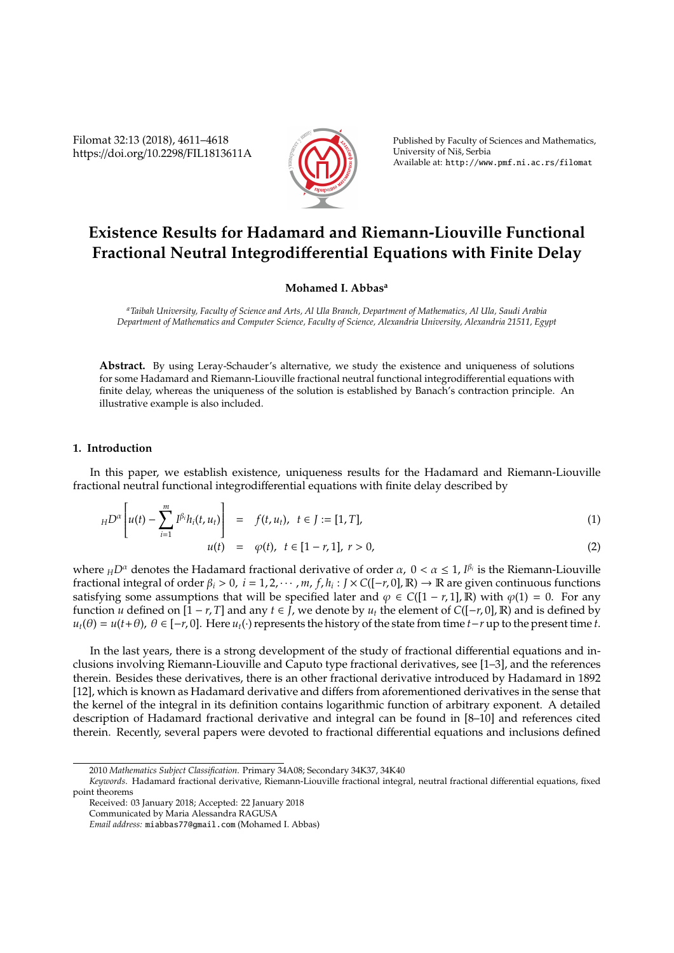Filomat 32:13 (2018), 4611–4618 https://doi.org/10.2298/FIL1813611A



Published by Faculty of Sciences and Mathematics, University of Niš, Serbia Available at: http://www.pmf.ni.ac.rs/filomat

# **Existence Results for Hadamard and Riemann-Liouville Functional Fractional Neutral Integrodi**ff**erential Equations with Finite Delay**

## **Mohamed I. Abbas<sup>a</sup>**

*<sup>a</sup>Taibah University, Faculty of Science and Arts, Al Ula Branch, Department of Mathematics, Al Ula, Saudi Arabia Department of Mathematics and Computer Science, Faculty of Science, Alexandria University, Alexandria 21511, Egypt*

**Abstract.** By using Leray-Schauder's alternative, we study the existence and uniqueness of solutions for some Hadamard and Riemann-Liouville fractional neutral functional integrodifferential equations with finite delay, whereas the uniqueness of the solution is established by Banach's contraction principle. An illustrative example is also included.

## **1. Introduction**

In this paper, we establish existence, uniqueness results for the Hadamard and Riemann-Liouville fractional neutral functional integrodifferential equations with finite delay described by

$$
_{H}D^{\alpha}\left[u(t)-\sum_{i=1}^{m}I^{\beta_{i}}h_{i}(t,u_{t})\right] = f(t,u_{t}), \ t \in J := [1, T], \qquad (1)
$$

$$
u(t) = \varphi(t), \ t \in [1 - r, 1], \ r > 0,
$$
\n(2)

where  $_HD^{\alpha}$  denotes the Hadamard fractional derivative of order  $\alpha$ ,  $0 < \alpha \leq 1$ ,  $I^{\beta_i}$  is the Riemann-Liouville fractional integral of order  $\beta_i > 0$ ,  $i = 1, 2, \cdots, m$ ,  $f, h_i : J \times C([-r, 0], \mathbb{R}) \to \mathbb{R}$  are given continuous functions satisfying some assumptions that will be specified later and  $\varphi \in C([1 - r, 1], \mathbb{R})$  with  $\varphi(1) = 0$ . For any function *u* defined on  $[1 - r, T]$  and any  $t \in J$ , we denote by  $u_t$  the element of  $C([-r, 0], \mathbb{R})$  and is defined by  $u_t$ ( $\theta$ ) =  $u(t+θ)$ ,  $\theta$  ∈ [−*r*, 0]. Here  $u_t(·)$  represents the history of the state from time *t*−*r* up to the present time *t*.

In the last years, there is a strong development of the study of fractional differential equations and inclusions involving Riemann-Liouville and Caputo type fractional derivatives, see [1–3], and the references therein. Besides these derivatives, there is an other fractional derivative introduced by Hadamard in 1892 [12], which is known as Hadamard derivative and differs from aforementioned derivatives in the sense that the kernel of the integral in its definition contains logarithmic function of arbitrary exponent. A detailed description of Hadamard fractional derivative and integral can be found in [8–10] and references cited therein. Recently, several papers were devoted to fractional differential equations and inclusions defined

<sup>2010</sup> *Mathematics Subject Classification*. Primary 34A08; Secondary 34K37, 34K40

*Keywords*. Hadamard fractional derivative, Riemann-Liouville fractional integral, neutral fractional differential equations, fixed point theorems

Received: 03 January 2018; Accepted: 22 January 2018

Communicated by Maria Alessandra RAGUSA

*Email address:* miabbas77@gmail.com (Mohamed I. Abbas)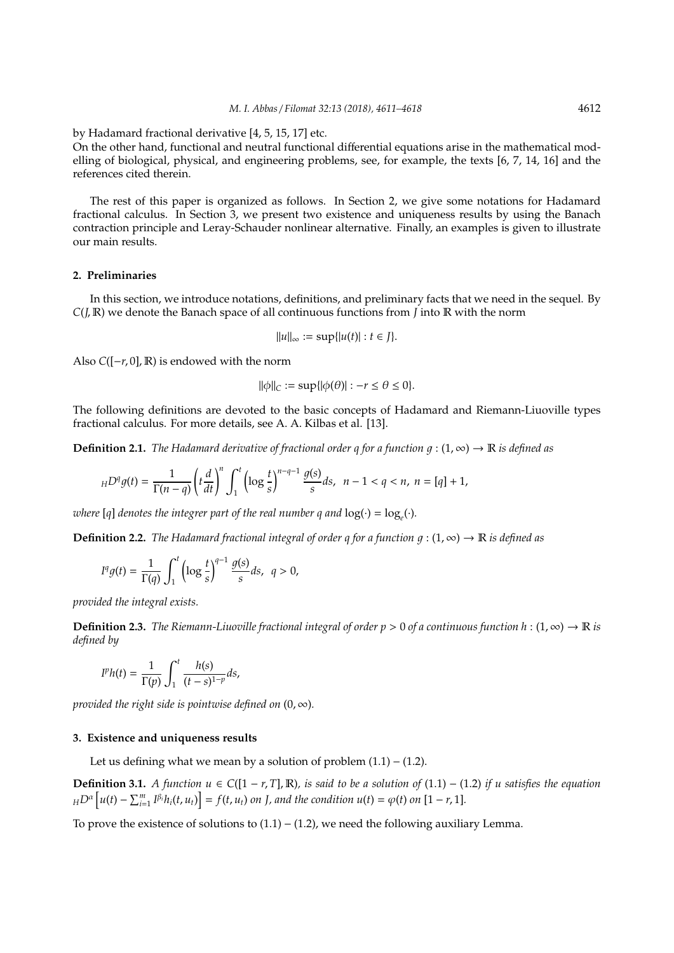by Hadamard fractional derivative [4, 5, 15, 17] etc.

On the other hand, functional and neutral functional differential equations arise in the mathematical modelling of biological, physical, and engineering problems, see, for example, the texts [6, 7, 14, 16] and the references cited therein.

The rest of this paper is organized as follows. In Section 2, we give some notations for Hadamard fractional calculus. In Section 3, we present two existence and uniqueness results by using the Banach contraction principle and Leray-Schauder nonlinear alternative. Finally, an examples is given to illustrate our main results.

### **2. Preliminaries**

In this section, we introduce notations, definitions, and preliminary facts that we need in the sequel. By *C*(*J*, R) we denote the Banach space of all continuous functions from *J* into R with the norm

$$
||u||_{\infty} := \sup\{|u(t)| : t \in J\}.
$$

Also *C*([−*r*, 0], R) is endowed with the norm

 $\|\phi\|_C := \sup\{|\phi(\theta)| : -r \leq \theta \leq 0\}.$ 

The following definitions are devoted to the basic concepts of Hadamard and Riemann-Liuoville types fractional calculus. For more details, see A. A. Kilbas et al. [13].

**Definition 2.1.** *The Hadamard derivative of fractional order q for a function g* : (1,  $\infty$ )  $\rightarrow \mathbb{R}$  *is defined as* 

$$
_HD^q g(t) = \frac{1}{\Gamma(n-q)} \left( t \frac{d}{dt} \right)^n \int_1^t \left( \log \frac{t}{s} \right)^{n-q-1} \frac{g(s)}{s} ds, \ \ n-1 < q < n, \ n = [q] + 1,
$$

*where* [q] denotes the integrer part of the real number q and  $log(\cdot) = log_e(\cdot)$ .

**Definition 2.2.** *The Hadamard fractional integral of order q for a function q* :  $(1, \infty) \rightarrow \mathbb{R}$  *is defined as* 

$$
Iqg(t) = \frac{1}{\Gamma(q)} \int_1^t \left( \log \frac{t}{s} \right)^{q-1} \frac{g(s)}{s} ds, \quad q > 0,
$$

*provided the integral exists.*

**Definition 2.3.** *The Riemann-Liuoville fractional integral of order p* > 0 *of a continuous function h* : (1, ∞) → R *is defined by*

$$
Iph(t) = \frac{1}{\Gamma(p)} \int_1^t \frac{h(s)}{(t-s)^{1-p}} ds,
$$

*provided the right side is pointwise defined on*  $(0, \infty)$ *.* 

# **3. Existence and uniqueness results**

Let us defining what we mean by a solution of problem  $(1.1) - (1.2)$ .

**Definition 3.1.** *A function u* ∈  $C([1 - r, T], \mathbb{R})$ *, is said to be a solution of* (1.1) – (1.2) *if u satisfies the equation*  $_{H}D^{\alpha}\left[u(t)-\sum_{i=1}^{m}I^{\beta_{i}}h_{i}(t,u_{t})\right]=f(t,u_{t})$  on J, and the condition  $u(t)=\varphi(t)$  on  $[1-r,1].$ 

To prove the existence of solutions to  $(1.1) - (1.2)$ , we need the following auxiliary Lemma.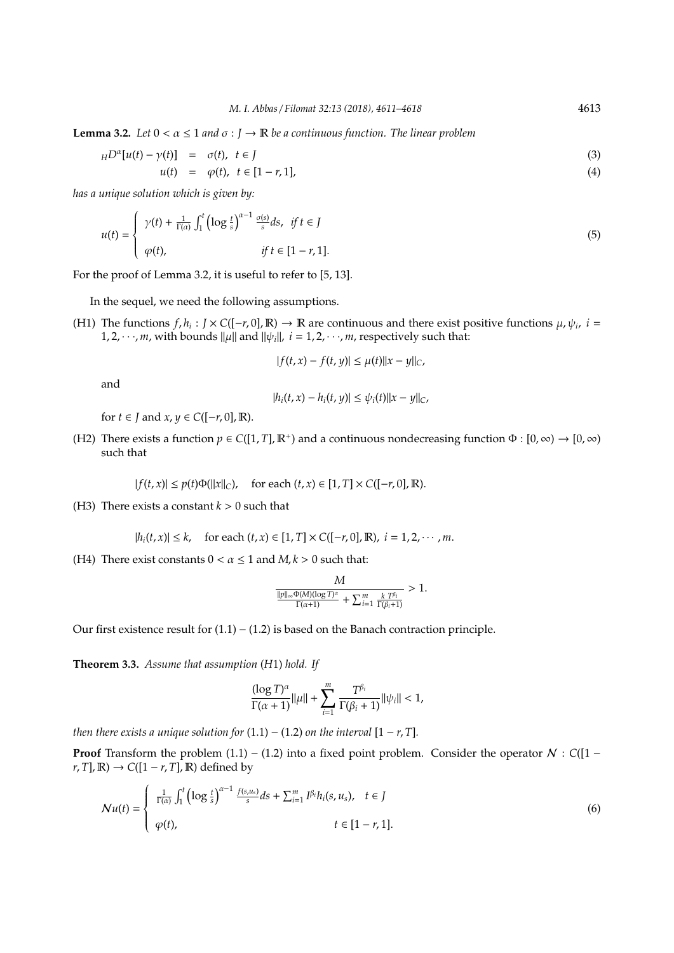**Lemma 3.2.** *Let*  $0 < \alpha \leq 1$  *and*  $\sigma : J \to \mathbb{R}$  *be a continuous function. The linear problem* 

$$
_H D^{\alpha}[u(t) - \gamma(t)] = \sigma(t), \ t \in J
$$
  
\n
$$
u(t) = \varphi(t), \ t \in [1 - r, 1],
$$
\n(3)

*has a unique solution which is given by:*

$$
u(t) = \begin{cases} \gamma(t) + \frac{1}{\Gamma(\alpha)} \int_1^t \left( \log \frac{t}{s} \right)^{\alpha - 1} \frac{\sigma(s)}{s} ds, & \text{if } t \in J \\ \varphi(t), & \text{if } t \in [1 - r, 1]. \end{cases} \tag{5}
$$

For the proof of Lemma 3.2, it is useful to refer to [5, 13].

In the sequel, we need the following assumptions.

(H1) The functions  $f, h_i : J \times C([-r, 0], \mathbb{R}) \to \mathbb{R}$  are continuous and there exist positive functions  $\mu, \psi_i$ ,  $i =$ 1, 2,  $\cdots$ , *m*, with bounds  $\|\mu\|$  and  $\|\psi_i\|$ , *i* = 1, 2,  $\cdots$ , *m*, respectively such that:

$$
|f(t,x)-f(t,y)|\leq \mu(t)||x-y||_C,
$$

and

$$
|h_i(t,x)-h_i(t,y)|\leq \psi_i(t)||x-y||_C,
$$

for  $t \in J$  and  $x, y \in C([-r, 0], \mathbb{R})$ .

(H2) There exists a function  $p \in C([1, T], \mathbb{R}^+)$  and a continuous nondecreasing function  $\Phi : [0, \infty) \to [0, \infty)$ such that

$$
|f(t,x)| \le p(t)\Phi(||x||_C), \quad \text{for each } (t,x) \in [1,T] \times C([-r,0],\mathbb{R}).
$$

(H3) There exists a constant  $k > 0$  such that

$$
|h_i(t, x)| \le k
$$
, for each  $(t, x) \in [1, T] \times C([-r, 0], \mathbb{R})$ ,  $i = 1, 2, \dots, m$ .

(H4) There exist constants  $0 < \alpha \le 1$  and  $M, k > 0$  such that:

$$
\frac{M}{\frac{\|\boldsymbol{p}\|_{\infty}\Phi(M)(\log T)^{\alpha}}{\Gamma(\alpha+1)}+\sum_{i=1}^{m}\frac{k\;T^{\beta_{i}}}{\Gamma(\beta_{i}+1)}}>1.
$$

Our first existence result for  $(1.1) - (1.2)$  is based on the Banach contraction principle.

**Theorem 3.3.** *Assume that assumption* (*H*1) *hold. If*

$$
\frac{(\log T)^{\alpha}}{\Gamma(\alpha+1)} ||\mu|| + \sum_{i=1}^{m} \frac{T^{\beta_{i}}}{\Gamma(\beta_{i}+1)} ||\psi_{i}|| < 1,
$$

*then there exists a unique solution for*  $(1.1) - (1.2)$  *on the interval*  $[1 - r, T]$ *.* 

**Proof** Transform the problem (1.1) – (1.2) into a fixed point problem. Consider the operator N : C([1 −  $r, T$ ,  $\mathbb{R}$ )  $\rightarrow$  *C*( $[1 - r, T]$ ,  $\mathbb{R}$ ) defined by

$$
\mathcal{N}u(t) = \begin{cases} \frac{1}{\Gamma(\alpha)} \int_1^t \left( \log \frac{t}{s} \right)^{\alpha - 1} \frac{f(s, u_s)}{s} ds + \sum_{i=1}^m I^{\beta_i} h_i(s, u_s), & t \in J \\ \varphi(t), & t \in [1 - r, 1]. \end{cases} \tag{6}
$$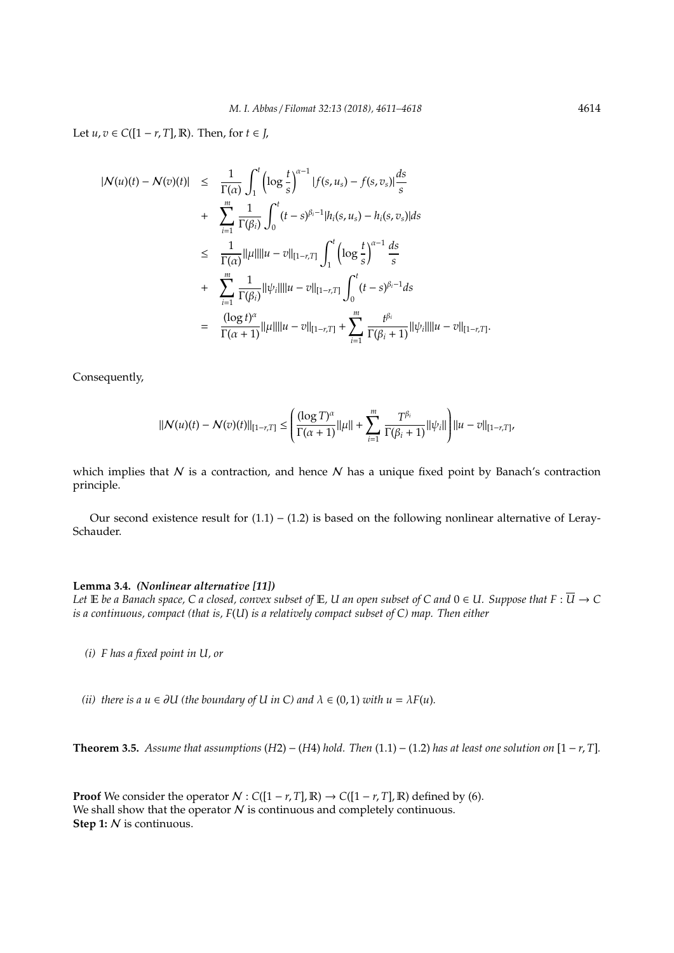Let  $u, v \in C([1 - r, T], \mathbb{R})$ . Then, for  $t \in J$ ,

$$
|N(u)(t) - N(v)(t)| \leq \frac{1}{\Gamma(\alpha)} \int_{1}^{t} \left( \log \frac{t}{s} \right)^{\alpha-1} |f(s, u_s) - f(s, v_s)| \frac{ds}{s}
$$
  
+ 
$$
\sum_{i=1}^{m} \frac{1}{\Gamma(\beta_i)} \int_{0}^{t} (t - s)^{\beta_i - 1} |h_i(s, u_s) - h_i(s, v_s)| ds
$$
  

$$
\leq \frac{1}{\Gamma(\alpha)} ||\mu|| ||u - v||_{[1-r, T]} \int_{1}^{t} \left( \log \frac{t}{s} \right)^{\alpha-1} \frac{ds}{s}
$$
  
+ 
$$
\sum_{i=1}^{m} \frac{1}{\Gamma(\beta_i)} ||\psi_i|| ||u - v||_{[1-r, T]} \int_{0}^{t} (t - s)^{\beta_i - 1} ds
$$
  
= 
$$
\frac{(\log t)^{\alpha}}{\Gamma(\alpha + 1)} ||\mu|| ||u - v||_{[1-r, T]} + \sum_{i=1}^{m} \frac{t^{\beta_i}}{\Gamma(\beta_i + 1)} ||\psi_i|| ||u - v||_{[1-r, T]}
$$

Consequently,

$$
||\mathcal{N}(u)(t) - \mathcal{N}(v)(t)||_{[1-r,T]} \leq \left(\frac{(\log T)^{\alpha}}{\Gamma(\alpha+1)}||\mu|| + \sum_{i=1}^{m} \frac{T^{\beta_i}}{\Gamma(\beta_i+1)}||\psi_i||\right)||u - v||_{[1-r,T]},
$$

which implies that  $N$  is a contraction, and hence  $N$  has a unique fixed point by Banach's contraction principle.

Our second existence result for  $(1.1) - (1.2)$  is based on the following nonlinear alternative of Leray-Schauder.

## **Lemma 3.4.** *(Nonlinear alternative [11])*

*Let*  $E$  *be a Banach space, C a closed, convex subset of*  $E$ *, U an open subset of C and*  $0 \in U$ *. Suppose that*  $F : \overline{U} \to C$ *is a continuous, compact (that is, F*(*U*) *is a relatively compact subset of C) map. Then either*

- *(i) F has a fixed point in U, or*
- *(ii)* there is a  $u \in \partial U$  (the boundary of U in C) and  $\lambda \in (0,1)$  *with*  $u = \lambda F(u)$ *.*

**Theorem 3.5.** *Assume that assumptions* (*H2*) – (*H4*) *hold. Then* (1.1) – (1.2) *has at least one solution on* [1 – *r*, *T*].

**Proof** We consider the operator  $N$  :  $C([1 - r, T], \mathbb{R}) \rightarrow C([1 - r, T], \mathbb{R})$  defined by (6). We shall show that the operator  $N$  is continuous and completely continuous. **Step 1:** N is continuous.

.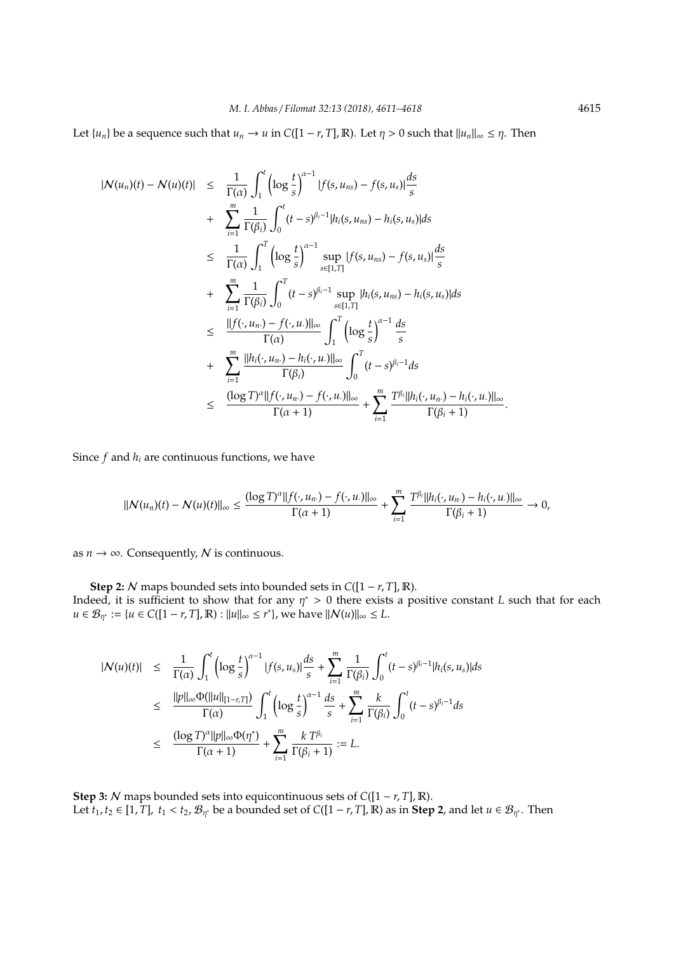Let  $\{u_n\}$  be a sequence such that  $u_n \to u$  in  $C([1 - r, T], \mathbb{R})$ . Let  $\eta > 0$  such that  $||u_n||_{\infty} \leq \eta$ . Then

$$
|N(u_n)(t) - N(u)(t)| \leq \frac{1}{\Gamma(\alpha)} \int_1^t \left( \log \frac{t}{s} \right)^{\alpha - 1} |f(s, u_{ns}) - f(s, u_s)| \frac{ds}{s} + \sum_{i=1}^m \frac{1}{\Gamma(\beta_i)} \int_0^t (t - s)^{\beta_i - 1} |h_i(s, u_{ns}) - h_i(s, u_s)| ds \leq \frac{1}{\Gamma(\alpha)} \int_1^T \left( \log \frac{t}{s} \right)^{\alpha - 1} \sup_{s \in [1, T]} |f(s, u_{ns}) - f(s, u_s)| \frac{ds}{s} + \sum_{i=1}^m \frac{1}{\Gamma(\beta_i)} \int_0^T (t - s)^{\beta_i - 1} \sup_{s \in [1, T]} |h_i(s, u_{ns}) - h_i(s, u_s)| ds \leq \frac{||f(\cdot, u_n) - f(\cdot, u_{\cdot})||_{\infty}}{\Gamma(\alpha)} \int_1^T \left( \log \frac{t}{s} \right)^{\alpha - 1} \frac{ds}{s} + \sum_{i=1}^m \frac{||h_i(\cdot, u_n) - h_i(\cdot, u_{\cdot})||_{\infty}}{\Gamma(\beta_i)} \int_0^T (t - s)^{\beta_i - 1} ds \leq \frac{(\log T)^{\alpha} ||f(\cdot, u_n) - f(\cdot, u_{\cdot})||_{\infty}}{\Gamma(\alpha + 1)} + \sum_{i=1}^m \frac{T^{\beta_i} ||h_i(\cdot, u_n) - h_i(\cdot, u_{\cdot})||_{\infty}}{\Gamma(\beta_i + 1)}.
$$

Since  $f$  and  $h_i$  are continuous functions, we have

$$
||\mathcal{N}(u_n)(t)-\mathcal{N}(u)(t)||_{\infty}\leq \frac{(\log T)^{\alpha}||f(\cdot,u_n)-f(\cdot,u_{\cdot})||_{\infty}}{\Gamma(\alpha+1)}+\sum_{i=1}^m \frac{T^{\beta_i}||h_i(\cdot,u_n)-h_i(\cdot,u_{\cdot})||_{\infty}}{\Gamma(\beta_i+1)}\to 0,
$$

as  $n \to \infty$ . Consequently, N is continuous.

**Step 2:** N maps bounded sets into bounded sets in  $C([1 - r, T], \mathbb{R})$ . Indeed, it is sufficient to show that for any  $\eta^* > 0$  there exists a positive constant *L* such that for each *u* ∈  $\mathcal{B}_{\eta^*} := \{u \in C([1 - r, T], \mathbb{R}) : ||u||_{\infty} \le r^*\},\$  we have  $||\mathcal{N}(u)||_{\infty} \le L$ .

$$
|N(u)(t)| \leq \frac{1}{\Gamma(\alpha)} \int_{1}^{t} \left( \log \frac{t}{s} \right)^{\alpha-1} |f(s, u_{s})| \frac{ds}{s} + \sum_{i=1}^{m} \frac{1}{\Gamma(\beta_{i})} \int_{0}^{t} (t-s)^{\beta_{i}-1} |h_{i}(s, u_{s})| ds
$$
  

$$
\leq \frac{||p||_{\infty} \Phi(||u||_{[1-r,T]})}{\Gamma(\alpha)} \int_{1}^{t} \left( \log \frac{t}{s} \right)^{\alpha-1} \frac{ds}{s} + \sum_{i=1}^{m} \frac{k}{\Gamma(\beta_{i})} \int_{0}^{t} (t-s)^{\beta_{i}-1} ds
$$
  

$$
\leq \frac{(\log T)^{\alpha} ||p||_{\infty} \Phi(\eta^{*})}{\Gamma(\alpha+1)} + \sum_{i=1}^{m} \frac{k T^{\beta_{i}}}{\Gamma(\beta_{i}+1)} := L.
$$

**Step 3:** N maps bounded sets into equicontinuous sets of *C*([1 − *r*, *T*], R). Let  $t_1, t_2 \in [1, T]$ ,  $t_1 < t_2$ ,  $\mathcal{B}_{\eta^*}$  be a bounded set of  $C([1-r, T], \mathbb{R})$  as in **Step 2**, and let  $u \in \mathcal{B}_{\eta^*}$ . Then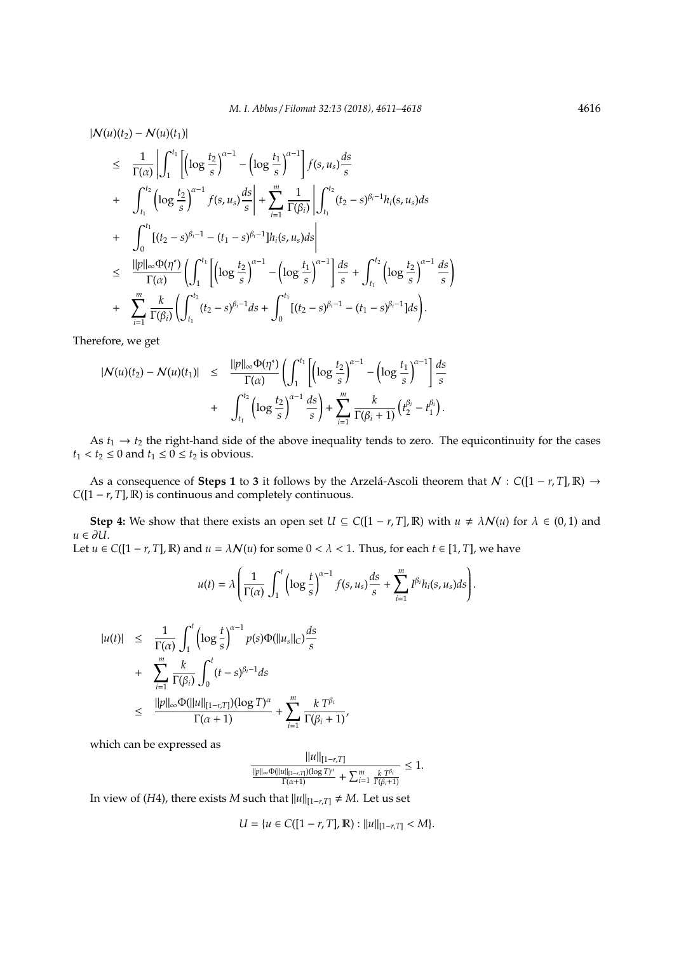$$
|N(u)(t_2) - N(u)(t_1)|
$$
  
\n
$$
\leq \frac{1}{\Gamma(\alpha)} \left| \int_1^{t_1} \left[ \left( \log \frac{t_2}{s} \right)^{\alpha-1} - \left( \log \frac{t_1}{s} \right)^{\alpha-1} \right] f(s, u_s) \frac{ds}{s} \right|
$$
  
\n
$$
+ \int_{t_1}^{t_2} \left( \log \frac{t_2}{s} \right)^{\alpha-1} f(s, u_s) \frac{ds}{s} + \sum_{i=1}^m \frac{1}{\Gamma(\beta_i)} \left| \int_{t_1}^{t_2} (t_2 - s)^{\beta_i - 1} h_i(s, u_s) ds \right|
$$
  
\n
$$
+ \int_0^{t_1} \left[ (t_2 - s)^{\beta_i - 1} - (t_1 - s)^{\beta_i - 1} \right] h_i(s, u_s) ds \right|
$$
  
\n
$$
\leq \frac{||p||_{\infty} \Phi(\eta^*)}{\Gamma(\alpha)} \left( \int_1^{t_1} \left[ \left( \log \frac{t_2}{s} \right)^{\alpha-1} - \left( \log \frac{t_1}{s} \right)^{\alpha-1} \right] \frac{ds}{s} + \int_{t_1}^{t_2} \left( \log \frac{t_2}{s} \right)^{\alpha-1} \frac{ds}{s} \right)
$$
  
\n
$$
+ \sum_{i=1}^m \frac{k}{\Gamma(\beta_i)} \left( \int_{t_1}^{t_2} (t_2 - s)^{\beta_i - 1} ds + \int_0^{t_1} \left[ (t_2 - s)^{\beta_i - 1} - (t_1 - s)^{\beta_i - 1} \right] ds \right).
$$

Therefore, we get

$$
\begin{array}{rcl} |{\cal N}(u)(t_2)-{\cal N}(u)(t_1)|&\leq& \displaystyle \frac{\|p\|_\infty\Phi(\eta^*)}{\Gamma(\alpha)}\displaystyle\left(\int_1^{t_1}\left[\left(\log \frac{t_2}{s}\right)^{\alpha-1}-\left(\log \frac{t_1}{s}\right)^{\alpha-1}\right]\frac{ds}{s}\right.\\&+&\displaystyle \int_{t_1}^{t_2}\left(\log \frac{t_2}{s}\right)^{\alpha-1}\frac{ds}{s}\right)+\sum_{i=1}^m\frac{k}{\Gamma(\beta_i+1)}\left(t_2^{\beta_i}-t_1^{\beta_i}\right).\end{array}
$$

As  $t_1 \rightarrow t_2$  the right-hand side of the above inequality tends to zero. The equicontinuity for the cases  $t_1 < t_2 \leq 0$  and  $t_1 \leq 0 \leq t_2$  is obvious.

As a consequence of **Steps 1** to **3** it follows by the Arzela-Ascoli theorem that  $N : C([1 - r, T], \mathbb{R}) \rightarrow$ *C*([1 − *r*, *T*], **R**) is continuous and completely continuous.

**Step 4:** We show that there exists an open set  $U \subseteq C([1 - r, T], \mathbb{R})$  with  $u \neq \lambda N(u)$  for  $\lambda \in (0, 1)$  and *u* ∈ ∂*U*. Let  $u \in C([1 - r, T], \mathbb{R})$  and  $u = \lambda N(u)$  for some  $0 < \lambda < 1$ . Thus, for each  $t \in [1, T]$ , we have

$$
u(t) = \lambda \left( \frac{1}{\Gamma(\alpha)} \int_1^t \left( \log \frac{t}{s} \right)^{\alpha-1} f(s, u_s) \frac{ds}{s} + \sum_{i=1}^m I^{\beta_i} h_i(s, u_s) ds \right).
$$

$$
|u(t)| \leq \frac{1}{\Gamma(\alpha)} \int_1^t \left( \log \frac{t}{s} \right)^{\alpha-1} p(s) \Phi(||u_s||_C) \frac{ds}{s}
$$
  
+ 
$$
\sum_{i=1}^m \frac{k}{\Gamma(\beta_i)} \int_0^t (t-s)^{\beta_i-1} ds
$$
  

$$
\leq \frac{||p||_{\infty} \Phi(||u||_{[1-r,T]})(\log T)^{\alpha}}{\Gamma(\alpha+1)} + \sum_{i=1}^m \frac{k T^{\beta_i}}{\Gamma(\beta_i+1)},
$$

which can be expressed as

$$
\frac{||u||_{[1-r,T]}}{\frac{||p||_\infty \Phi(||u||_{[1-r,T]})(\log T)^\alpha}{\Gamma(\alpha+1)} + \sum_{i=1}^m \frac{k \ T^{\beta_i}}{\Gamma(\beta_i+1)}} \leq 1.
$$

In view of (*H*4), there exists *M* such that  $||u||_{[1-r,T]} \neq M$ . Let us set

$$
U = \{u \in C([1 - r, T], \mathbb{R}) : ||u||_{[1 - r, T]} < M\}.
$$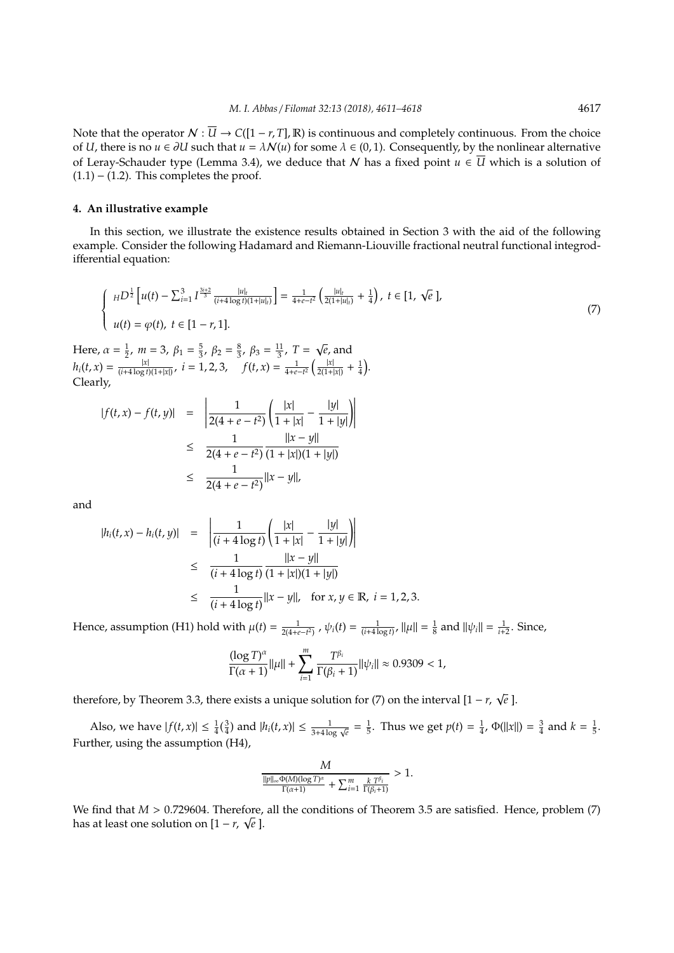Note that the operator  $N : \overline{U} \to C([1 - r, T], \mathbb{R})$  is continuous and completely continuous. From the choice of *U*, there is no  $u \in \partial U$  such that  $u = \lambda N(u)$  for some  $\lambda \in (0,1)$ . Consequently, by the nonlinear alternative of Leray-Schauder type (Lemma 3.4), we deduce that N has a fixed point  $u \in \overline{U}$  which is a solution of  $(1.1) - (1.2)$ . This completes the proof.

#### **4. An illustrative example**

In this section, we illustrate the existence results obtained in Section 3 with the aid of the following example. Consider the following Hadamard and Riemann-Liouville fractional neutral functional integrodifferential equation:

$$
\begin{cases} H^{D^{\frac{1}{2}}}\left[u(t) - \sum_{i=1}^{3} I^{\frac{3i+2}{3}} \frac{|u|_{t}}{(i+4\log t)(1+|u|_{t})}\right] = \frac{1}{4+e-t^{2}} \left(\frac{|u|_{t}}{2(1+|u|_{t})} + \frac{1}{4}\right), \ t \in [1, \ \sqrt{e} \],\\ u(t) = \varphi(t), \ t \in [1-r, 1]. \end{cases} \tag{7}
$$

Here,  $\alpha = \frac{1}{2}$ ,  $m = 3$ ,  $\beta_1 = \frac{5}{3}$ ,  $\beta_2 = \frac{8}{3}$ ,  $\beta_3 = \frac{11}{3}$ ,  $T =$ *e*, and  $h_i(t, x) = \frac{|x|}{(i+4\log t)}$  $\frac{|x|}{(i+4\log t)(1+|x|)}, \ i=1,2,3,$   $f(t,x)=\frac{1}{4+e-t^2}\left(\frac{|x|}{2(1+4\log t)(1+|x|)}\right)$  $\frac{|x|}{2(1+|x|)} + \frac{1}{4}$ . Clearly,

$$
|f(t, x) - f(t, y)| = \left| \frac{1}{2(4 + e - t^2)} \left( \frac{|x|}{1 + |x|} - \frac{|y|}{1 + |y|} \right) \right|
$$
  
\n
$$
\leq \frac{1}{2(4 + e - t^2)} \frac{||x - y||}{(1 + |x|)(1 + |y|)}
$$
  
\n
$$
\leq \frac{1}{2(4 + e - t^2)} ||x - y||,
$$

and

$$
|h_i(t, x) - h_i(t, y)| = \left| \frac{1}{(i + 4 \log t)} \left( \frac{|x|}{1 + |x|} - \frac{|y|}{1 + |y|} \right) \right|
$$
  
\n
$$
\leq \frac{1}{(i + 4 \log t)} \frac{||x - y||}{(1 + |x|)(1 + |y|)}
$$
  
\n
$$
\leq \frac{1}{(i + 4 \log t)} ||x - y||, \text{ for } x, y \in \mathbb{R}, i = 1, 2, 3.
$$

Hence, assumption (H1) hold with  $\mu(t) = \frac{1}{2(4+e-t^2)}$ ,  $\psi_i(t) = \frac{1}{(i+4\log t)}$ ,  $\|\mu\| = \frac{1}{8}$  and  $\|\psi_i\| = \frac{1}{i+2}$ . Since,

$$
\frac{(\log T)^{\alpha}}{\Gamma(\alpha+1)} ||\mu|| + \sum_{i=1}^{m} \frac{T^{\beta_{i}}}{\Gamma(\beta_{i}+1)} ||\psi_{i}|| \approx 0.9309 < 1,
$$

therefore, by Theorem 3.3, there exists a unique solution for (7) on the interval  $[1 - r, \sqrt{r}]$ *e* ].

Also, we have  $|f(t,x)| \leq \frac{1}{4}(\frac{3}{4})$  and  $|h_i(t,x)| \leq \frac{1}{3+4\log \sqrt{e}} = \frac{1}{5}$ . Thus we get  $p(t) = \frac{1}{4}$ ,  $\Phi(||x||) = \frac{3}{4}$  and  $k = \frac{1}{5}$ . Further, using the assumption (H4),

$$
\frac{M}{\frac{\|p\|_{\infty}\Phi(M)(\log T)^{\alpha}}{\Gamma(\alpha+1)}+\sum_{i=1}^{m}\frac{k\;T^{\beta_{i}}}{\Gamma(\beta_{i}+1)}}>1.
$$

We find that *M* > 0.729604. Therefore, all the conditions of Theorem 3.5 are satisfied. Hence, problem (7) has at least one solution on  $[1 - r, \sqrt{e}]$ .